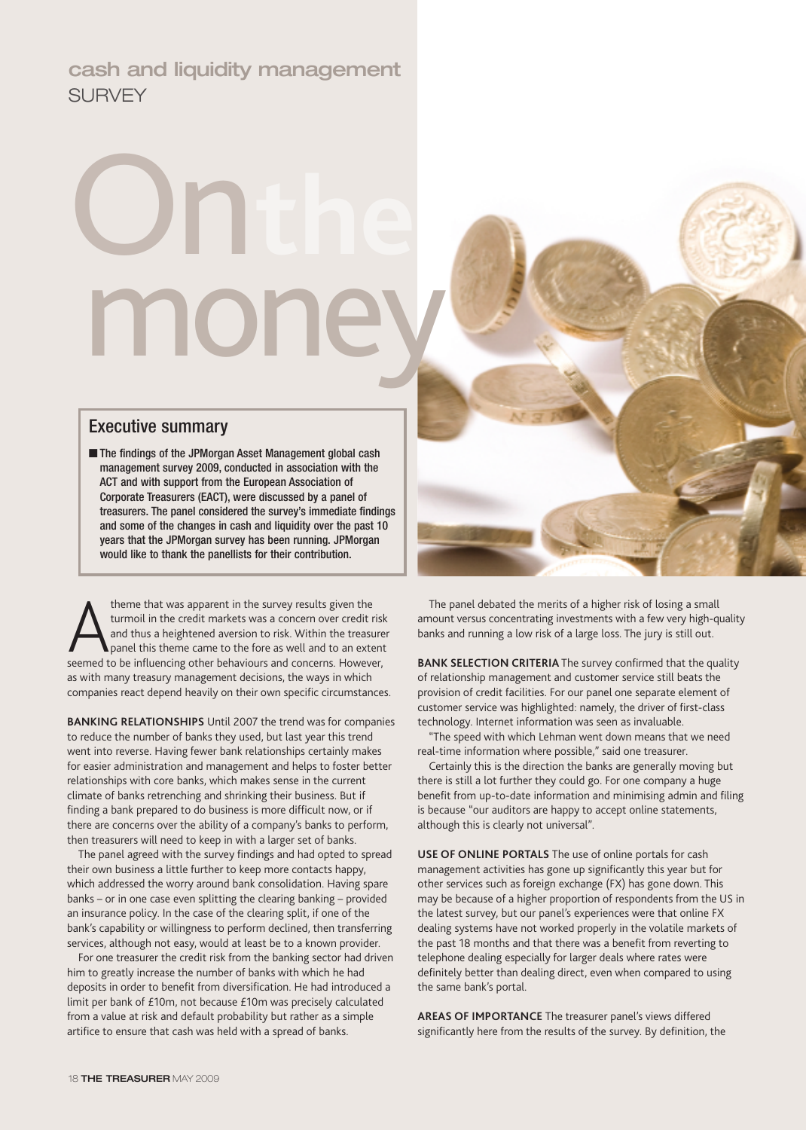# **cash and liquidity management** SURVEY

# On**the** mon

### Executive summary

■ The findings of the JPMorgan Asset Management global cash management survey 2009, conducted in association with the ACT and with support from the European Association of Corporate Treasurers (EACT), were discussed by a panel of treasurers. The panel considered the survey's immediate findings and some of the changes in cash and liquidity over the past 10 years that the JPMorgan survey has been running. JPMorgan would like to thank the panellists for their contribution.

theme that was apparent in the survey results given the turmoil in the credit markets was a concern over credit ris and thus a heightened aversion to risk. Within the treasure seemed to be influencing other behaviours and theme that was apparent in the survey results given the turmoil in the credit markets was a concern over credit risk and thus a heightened aversion to risk. Within the treasurer panel this theme came to the fore as well and to an extent as with many treasury management decisions, the ways in which companies react depend heavily on their own specific circumstances.

**BANKING RELATIONSHIPS** Until 2007 the trend was for companies to reduce the number of banks they used, but last year this trend went into reverse. Having fewer bank relationships certainly makes for easier administration and management and helps to foster better relationships with core banks, which makes sense in the current climate of banks retrenching and shrinking their business. But if finding a bank prepared to do business is more difficult now, or if there are concerns over the ability of a company's banks to perform, then treasurers will need to keep in with a larger set of banks.

The panel agreed with the survey findings and had opted to spread their own business a little further to keep more contacts happy, which addressed the worry around bank consolidation. Having spare banks – or in one case even splitting the clearing banking – provided an insurance policy. In the case of the clearing split, if one of the bank's capability or willingness to perform declined, then transferring services, although not easy, would at least be to a known provider.

For one treasurer the credit risk from the banking sector had driven him to greatly increase the number of banks with which he had deposits in order to benefit from diversification. He had introduced a limit per bank of £10m, not because £10m was precisely calculated from a value at risk and default probability but rather as a simple artifice to ensure that cash was held with a spread of banks.



The panel debated the merits of a higher risk of losing a small amount versus concentrating investments with a few very high-quality banks and running a low risk of a large loss. The jury is still out.

**BANK SELECTION CRITERIA** The survey confirmed that the quality of relationship management and customer service still beats the provision of credit facilities. For our panel one separate element of customer service was highlighted: namely, the driver of first-class technology. Internet information was seen as invaluable.

"The speed with which Lehman went down means that we need real-time information where possible," said one treasurer.

Certainly this is the direction the banks are generally moving but there is still a lot further they could go. For one company a huge benefit from up-to-date information and minimising admin and filing is because "our auditors are happy to accept online statements, although this is clearly not universal".

**USE OF ONLINE PORTALS** The use of online portals for cash management activities has gone up significantly this year but for other services such as foreign exchange (FX) has gone down. This may be because of a higher proportion of respondents from the US in the latest survey, but our panel's experiences were that online FX dealing systems have not worked properly in the volatile markets of the past 18 months and that there was a benefit from reverting to telephone dealing especially for larger deals where rates were definitely better than dealing direct, even when compared to using the same bank's portal.

**AREAS OF IMPORTANCE** The treasurer panel's views differed significantly here from the results of the survey. By definition, the